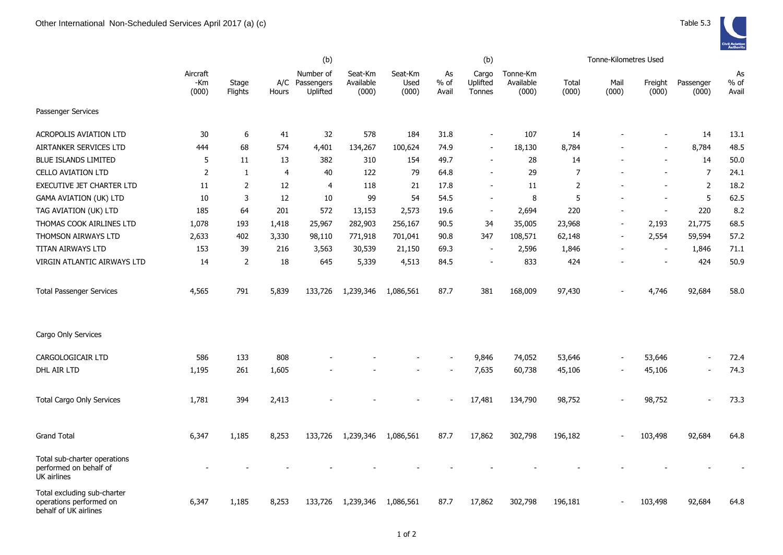behalf of UK airlines

|                                                                       |                          |                  | (b)   |                                         |                               |                          |                     | (b)                         |                                |                | Tonne-Kilometres Used |                  |                    |                     |
|-----------------------------------------------------------------------|--------------------------|------------------|-------|-----------------------------------------|-------------------------------|--------------------------|---------------------|-----------------------------|--------------------------------|----------------|-----------------------|------------------|--------------------|---------------------|
|                                                                       | Aircraft<br>-Km<br>(000) | Stage<br>Flights | Hours | Number of<br>A/C Passengers<br>Uplifted | Seat-Km<br>Available<br>(000) | Seat-Km<br>Used<br>(000) | As<br>% of<br>Avail | Cargo<br>Uplifted<br>Tonnes | Tonne-Km<br>Available<br>(000) | Total<br>(000) | Mail<br>(000)         | Freight<br>(000) | Passenger<br>(000) | As<br>% of<br>Avail |
| Passenger Services                                                    |                          |                  |       |                                         |                               |                          |                     |                             |                                |                |                       |                  |                    |                     |
| <b>ACROPOLIS AVIATION LTD</b>                                         | 30                       | 6                | 41    | 32                                      | 578                           | 184                      | 31.8                | $\overline{\phantom{a}}$    | 107                            | 14             |                       |                  | 14                 | 13.1                |
| AIRTANKER SERVICES LTD                                                | 444                      | 68               | 574   | 4,401                                   | 134,267                       | 100,624                  | 74.9                | $\overline{\phantom{a}}$    | 18,130                         | 8,784          |                       |                  | 8,784              | 48.5                |
| <b>BLUE ISLANDS LIMITED</b>                                           | 5                        | 11               | 13    | 382                                     | 310                           | 154                      | 49.7                | $\sim$                      | 28                             | 14             |                       |                  | 14                 | 50.0                |
| <b>CELLO AVIATION LTD</b>                                             | $\overline{2}$           | 1                | 4     | 40                                      | 122                           | 79                       | 64.8                | $\overline{\phantom{a}}$    | 29                             | $\overline{7}$ |                       |                  | $\overline{7}$     | 24.1                |
| EXECUTIVE JET CHARTER LTD                                             | 11                       | 2                | 12    | $\overline{4}$                          | 118                           | 21                       | 17.8                | $\sim$                      | 11                             | 2              |                       |                  | $\overline{2}$     | 18.2                |
| GAMA AVIATION (UK) LTD                                                | 10                       | 3                | 12    | 10                                      | 99                            | 54                       | 54.5                | $\overline{\phantom{a}}$    | 8                              | 5              |                       |                  | 5                  | 62.5                |
| TAG AVIATION (UK) LTD                                                 | 185                      | 64               | 201   | 572                                     | 13,153                        | 2,573                    | 19.6                | $\qquad \qquad -$           | 2,694                          | 220            |                       |                  | 220                | 8.2                 |
| THOMAS COOK AIRLINES LTD                                              | 1,078                    | 193              | 1,418 | 25,967                                  | 282,903                       | 256,167                  | 90.5                | 34                          | 35,005                         | 23,968         | $\blacksquare$        | 2,193            | 21,775             | 68.5                |
| THOMSON AIRWAYS LTD                                                   | 2,633                    | 402              | 3,330 | 98,110                                  | 771,918                       | 701,041                  | 90.8                | 347                         | 108,571                        | 62,148         |                       | 2,554            | 59,594             | 57.2                |
| TITAN AIRWAYS LTD                                                     | 153                      | 39               | 216   | 3,563                                   | 30,539                        | 21,150                   | 69.3                | $\sim$                      | 2,596                          | 1,846          |                       | $\sim$           | 1,846              | 71.1                |
| VIRGIN ATLANTIC AIRWAYS LTD                                           | 14                       | 2                | 18    | 645                                     | 5,339                         | 4,513                    | 84.5                | $\overline{\phantom{a}}$    | 833                            | 424            |                       |                  | 424                | 50.9                |
| <b>Total Passenger Services</b>                                       | 4,565                    | 791              | 5,839 | 133,726                                 | 1,239,346                     | 1,086,561                | 87.7                | 381                         | 168,009                        | 97,430         |                       | 4,746            | 92,684             | 58.0                |
| Cargo Only Services                                                   |                          |                  |       |                                         |                               |                          |                     |                             |                                |                |                       |                  |                    |                     |
| CARGOLOGICAIR LTD                                                     | 586                      | 133              | 808   |                                         |                               |                          |                     | 9,846                       | 74,052                         | 53,646         |                       | 53,646           |                    | 72.4                |
| DHL AIR LTD                                                           | 1,195                    | 261              | 1,605 |                                         |                               |                          |                     | 7,635                       | 60,738                         | 45,106         |                       | 45,106           |                    | 74.3                |
| <b>Total Cargo Only Services</b>                                      | 1,781                    | 394              | 2,413 |                                         |                               |                          |                     | 17,481                      | 134,790                        | 98,752         |                       | 98,752           |                    | 73.3                |
| <b>Grand Total</b>                                                    | 6,347                    | 1,185            | 8,253 | 133,726                                 | 1,239,346                     | 1,086,561                | 87.7                | 17,862                      | 302,798                        | 196,182        |                       | 103,498          | 92,684             | 64.8                |
| Total sub-charter operations<br>performed on behalf of<br>UK airlines |                          |                  |       |                                         |                               |                          |                     |                             |                                |                |                       |                  |                    |                     |
| Total excluding sub-charter<br>operations performed on                | 6,347                    | 1,185            | 8,253 | 133,726                                 | 1,239,346                     | 1,086,561                | 87.7                | 17,862                      | 302,798                        | 196,181        |                       | 103,498          | 92,684             | 64.8                |